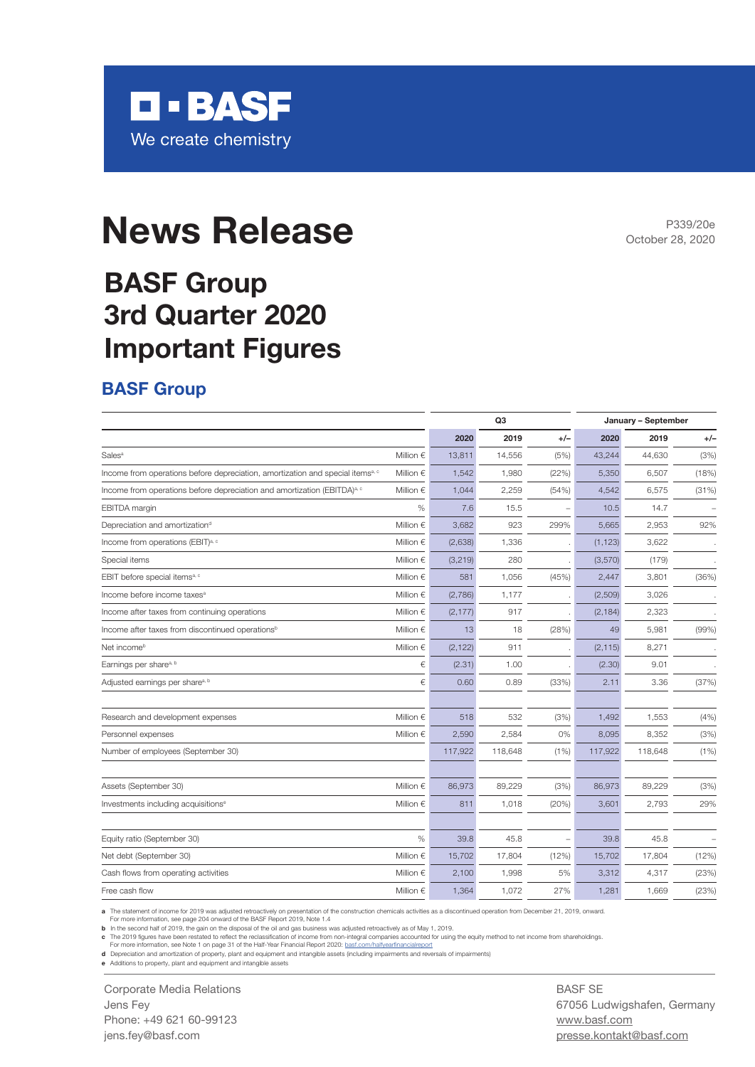

# **News Release**

## **BASF Group 3rd Quarter 2020 Important Figures**

#### **BASF Group**

|                                                                                            |                    | Q <sub>3</sub> |         |       | January - September |         |       |  |
|--------------------------------------------------------------------------------------------|--------------------|----------------|---------|-------|---------------------|---------|-------|--|
|                                                                                            |                    | 2020           | 2019    | $+/-$ | 2020                | 2019    | $+/-$ |  |
| Sales <sup>a</sup>                                                                         | Million $\epsilon$ | 13,811         | 14,556  | (5%)  | 43,244              | 44,630  | (3%)  |  |
| Income from operations before depreciation, amortization and special items <sup>a, c</sup> | Million $\epsilon$ | 1,542          | 1,980   | (22%) | 5,350               | 6,507   | (18%) |  |
| Income from operations before depreciation and amortization (EBITDA) <sup>a, c</sup>       | Million $\epsilon$ | 1,044          | 2,259   | (54%) | 4,542               | 6,575   | (31%) |  |
| <b>EBITDA</b> margin                                                                       | $\%$               | 7.6            | 15.5    |       | 10.5                | 14.7    |       |  |
| Depreciation and amortization <sup>d</sup>                                                 | Million $\epsilon$ | 3,682          | 923     | 299%  | 5,665               | 2,953   | 92%   |  |
| Income from operations (EBIT) <sup>a, c</sup>                                              | Million $\epsilon$ | (2,638)        | 1,336   |       | (1, 123)            | 3,622   |       |  |
| Special items                                                                              | Million $\epsilon$ | (3, 219)       | 280     |       | (3,570)             | (179)   |       |  |
| EBIT before special items <sup>a, c</sup>                                                  | Million $\epsilon$ | 581            | 1,056   | (45%) | 2,447               | 3,801   | (36%) |  |
| Income before income taxes <sup>a</sup>                                                    | Million $\epsilon$ | (2,786)        | 1,177   |       | (2,509)             | 3,026   |       |  |
| Income after taxes from continuing operations                                              | Million $\epsilon$ | (2, 177)       | 917     |       | (2, 184)            | 2,323   |       |  |
| Income after taxes from discontinued operations <sup>b</sup>                               | Million $\epsilon$ | 13             | 18      | (28%) | 49                  | 5,981   | (99%) |  |
| Net income <sup>b</sup>                                                                    | Million $\epsilon$ | (2, 122)       | 911     |       | (2, 115)            | 8,271   |       |  |
| Earnings per share <sup>a, b</sup>                                                         | €                  | (2.31)         | 1.00    |       | (2.30)              | 9.01    |       |  |
| Adjusted earnings per share <sup>a, b</sup>                                                | €                  | 0.60           | 0.89    | (33%) | 2.11                | 3.36    | (37%) |  |
| Research and development expenses                                                          | Million $\epsilon$ | 518            | 532     | (3%)  | 1,492               | 1,553   | (4% ) |  |
| Personnel expenses                                                                         | Million $\epsilon$ | 2,590          | 2,584   | 0%    | 8,095               | 8,352   | (3%)  |  |
| Number of employees (September 30)                                                         |                    | 117,922        | 118,648 | (1%)  | 117,922             | 118,648 | (1% ) |  |
| Assets (September 30)                                                                      | Million $\epsilon$ | 86,973         | 89,229  | (3%)  | 86,973              | 89,229  | (3%)  |  |
| Investments including acquisitions <sup>®</sup>                                            | Million $\epsilon$ | 811            | 1,018   | (20%) | 3,601               | 2,793   | 29%   |  |
| Equity ratio (September 30)                                                                | %                  | 39.8           | 45.8    |       | 39.8                | 45.8    |       |  |
| Net debt (September 30)                                                                    | Million $\epsilon$ | 15,702         | 17,804  | (12%) | 15,702              | 17,804  | (12%) |  |
| Cash flows from operating activities                                                       | Million $\epsilon$ | 2,100          | 1,998   | 5%    | 3,312               | 4,317   | (23%) |  |
| Free cash flow                                                                             | Million $\epsilon$ | 1,364          | 1,072   | 27%   | 1.281               | 1,669   | (23%) |  |

**a** The statement of income for 2019 was adjusted retroactively on presentation of the construction chemicals activities as a discontinued operation from December 21, 2019, onward.

For more information, see page 204 onward of the BASF Report 2019, Note 1.4 **b** In the second half of 2019, the gain on the disposal of the oil and gas business was adjusted retroactively as of May 1, 2019.

c The 2019 figures have been restated to reflect the reclassification of income from non-integral companies accounted for using the equity method to net income from shareholdings.<br>For more information, see Note 1 on page 3

**d** Depreciation and amortization of property, plant and equipment and intangible assets (including impairments and reversals of impairments)<br>**e** Additions to property, plant and equipment and intangible assets

Corporate Media Relations Jens Fey Phone: +49 621 60-99123 jens.fey@basf.com

BASF SE 67056 Ludwigshafen, Germany www.basf.com presse.kontakt@basf.com

P339/20e October 28, 2020